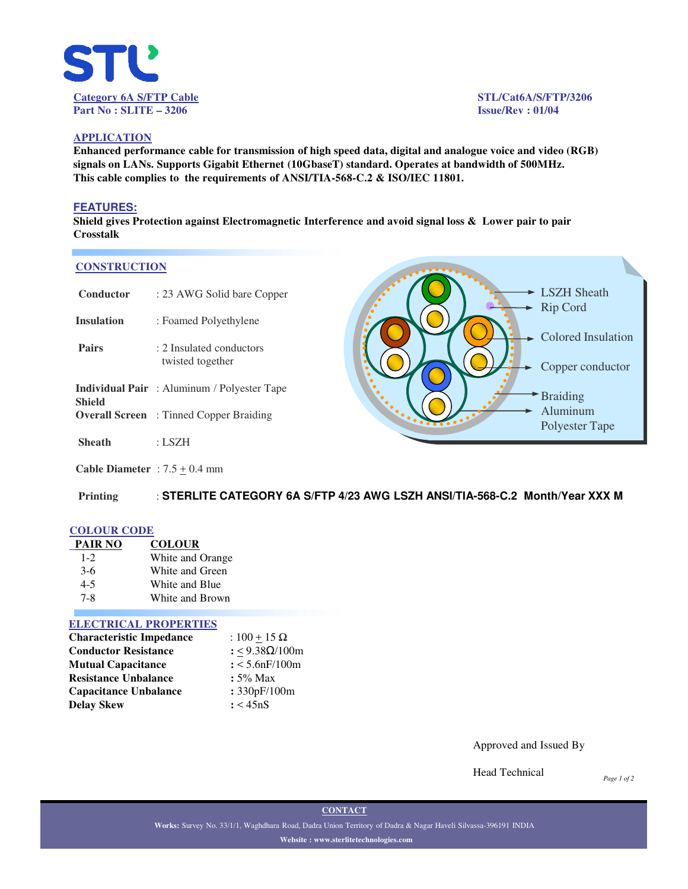

**- LSZH Sheath** Rip Cord

**►** Colored Insulation

Copper conductor

Braiding Aluminum Polyester Tape

## **APPLICATION**

**Enhanced performance cable for transmission of high speed data, digital and analogue voice and video (RGB) signals on LANs. Supports Gigabit Ethernet (10GbaseT) standard. Operates at bandwidth of 500MHz. This cable complies to the requirements of ANSI/TIA-568-C.2 & ISO/IEC 11801.**

#### **FEATURES:**

**Shield gives Protection against Electromagnetic Interference and avoid signal loss & Lower pair to pair Crosstalk**

#### **CONSTRUCTION**

| Conductor         | : 23 AWG Solid bare Copper                         |
|-------------------|----------------------------------------------------|
| <b>Insulation</b> | : Foamed Polyethylene                              |
| <b>Pairs</b>      | : 2 Insulated conductors<br>twisted together       |
| Shield            | <b>Individual Pair</b> : Aluminum / Polyester Tape |
|                   | <b>Overall Screen</b> : Tinned Copper Braiding     |
| Sheath            | : LSZH                                             |

**Cable Diameter** :  $7.5 \pm 0.4$  mm

**Printing** : **STERLITE CATEGORY 6A S/FTP 4/23 AWG LSZH ANSI/TIA-568-C.2 Month/Year XXX M**

## **COLOUR CODE**

| <b>PAIR NO</b> | <b>COLOUR</b>    |
|----------------|------------------|
| $1 - 2$        | White and Orange |
| $3-6$          | White and Green  |
| $4 - 5$        | White and Blue   |
| 7-8            | White and Brown  |

#### **ELECTRICAL PROPERTIES**

| <b>Characteristic Impedance</b> | : $100 + 15 \Omega$ |
|---------------------------------|---------------------|
| <b>Conductor Resistance</b>     | : <9.38Ω/100m       |
| <b>Mutual Capacitance</b>       | $: < 5.6$ nF/100m   |
| <b>Resistance Unbalance</b>     | $: 5\%$ Max         |
| <b>Capacitance Unbalance</b>    | : 330pF/100m        |
| Delay Skew                      | : < 45nS            |

Approved and Issued By

Head Technical

*Page 1 of 2*

**CONTACT**

**Works:** Survey No. 33/1/1, Waghdhara Road, Dadra Union Territory of Dadra & Nagar Haveli Silvassa-396191 INDIA **Website : www.sterlitetechnologies.com**